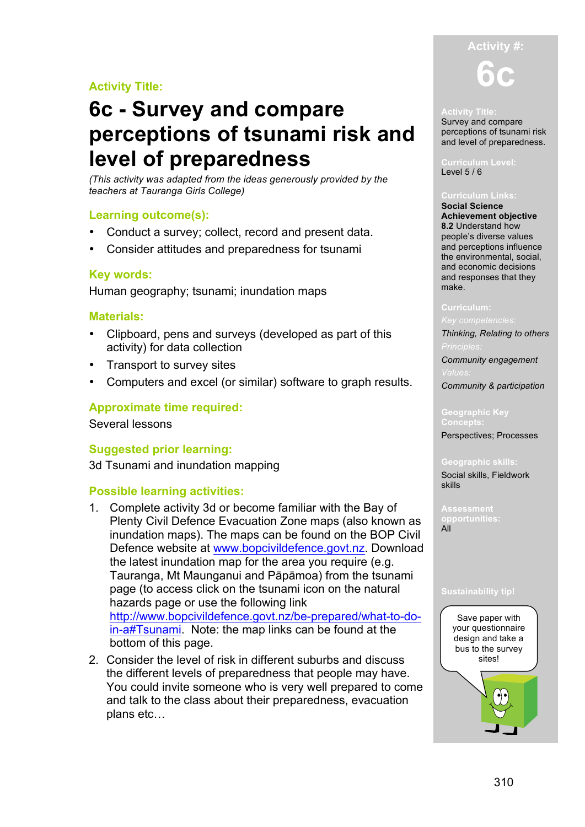# **Activity Title:**

# **6c - Survey and compare perceptions of tsunami risk and level of preparedness**

*(This activity was adapted from the ideas generously provided by the teachers at Tauranga Girls College)*

# **Learning outcome(s):**

- Conduct a survey; collect, record and present data.
- Consider attitudes and preparedness for tsunami

# **Key words:**

Human geography; tsunami; inundation maps

### **Materials:**

- Clipboard, pens and surveys (developed as part of this activity) for data collection
- Transport to survey sites
- Computers and excel (or similar) software to graph results.

# **Approximate time required:**

Several lessons

### **Suggested prior learning:**

3d Tsunami and inundation mapping

### **Possible learning activities:**

- 1. Complete activity 3d or become familiar with the Bay of Plenty Civil Defence Evacuation Zone maps (also known as inundation maps). The maps can be found on the BOP Civil Defence website at www.bopcivildefence.govt.nz. Download the latest inundation map for the area you require (e.g. Tauranga, Mt Maunganui and Pāpāmoa) from the tsunami page (to access click on the tsunami icon on the natural hazards page or use the following link http://www.bopcivildefence.govt.nz/be-prepared/what-to-doin-a#Tsunami. Note: the map links can be found at the bottom of this page.
- 2. Consider the level of risk in different suburbs and discuss the different levels of preparedness that people may have. You could invite someone who is very well prepared to come and talk to the class about their preparedness, evacuation plans etc…



#### **Activity Title:**

Survey and compare perceptions of tsunami risk and level of preparedness.

#### **Curriculum Level:** Level 5 / 6

#### **Curriculum Links:**

**Social Science Achievement objective 8.2** Understand how people's diverse values and perceptions influence the environmental, social, and economic decisions and responses that they make.

#### **Curriculum:**

*Thinking, Relating to others*

*Community engagement*

*Community & participation*

# **Geographic Key**

Perspectives; Processes

#### **Geographic skills:** Social skills, Fieldwork skills

**opportunities:**

All